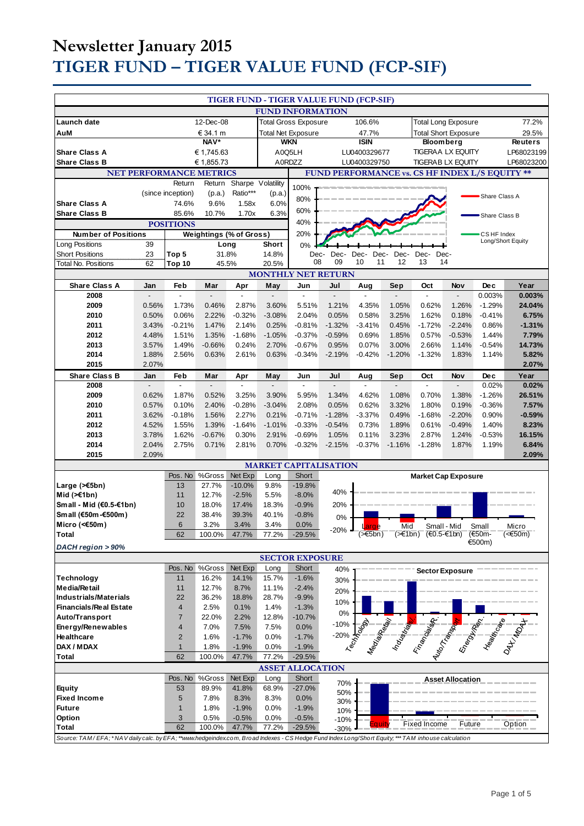|                                                                                                                                                                |                |                                |                                          |                             | TIGER FUND - TIGER VALUE FUND (FCP-SIF) |                                 |                          |              |                          |                                                                                                                         |                          |                     |                   |
|----------------------------------------------------------------------------------------------------------------------------------------------------------------|----------------|--------------------------------|------------------------------------------|-----------------------------|-----------------------------------------|---------------------------------|--------------------------|--------------|--------------------------|-------------------------------------------------------------------------------------------------------------------------|--------------------------|---------------------|-------------------|
| <b>FUND INFORMATION</b>                                                                                                                                        |                |                                |                                          |                             |                                         |                                 |                          |              |                          |                                                                                                                         |                          |                     |                   |
| Launch date                                                                                                                                                    | 12-Dec-08      |                                |                                          | <b>Total Gross Exposure</b> |                                         |                                 | 106.6%                   |              |                          | <b>Total Long Exposure</b><br>77.2%                                                                                     |                          |                     |                   |
| AuM                                                                                                                                                            | € 34.1 m       |                                |                                          | <b>Total Net Exposure</b>   |                                         |                                 | 47.7%                    |              |                          | <b>Total Short Exposure</b>                                                                                             |                          | 29.5%               |                   |
|                                                                                                                                                                |                |                                | $NAV*$                                   |                             |                                         | <b>WKN</b>                      |                          | <b>ISIN</b>  |                          |                                                                                                                         | <b>Bloomberg</b>         |                     | <b>Reuters</b>    |
| <b>Share Class A</b>                                                                                                                                           |                |                                | € 1,745.63                               |                             |                                         | A0Q5LH                          |                          | LU0400329677 |                          |                                                                                                                         | <b>TIGERAA LX EQUITY</b> |                     | LP68023199        |
| <b>Share Class B</b>                                                                                                                                           |                |                                | € 1,855.73                               |                             |                                         | A0RDZZ                          |                          | LU0400329750 |                          |                                                                                                                         | <b>TIGERAB LX EQUITY</b> |                     | LP68023200        |
|                                                                                                                                                                |                | Return                         | <b>NET PERFORMANCE METRICS</b><br>Return | Sharpe Volatility           |                                         |                                 |                          |              |                          | FUND PERFORMANCE vs. CS HF INDEX L/S EQUITY **                                                                          |                          |                     |                   |
|                                                                                                                                                                |                | (since inception)              | (p.a.)                                   | Ratio***                    | (p.a.)                                  | 100%                            |                          |              |                          |                                                                                                                         |                          |                     |                   |
| <b>Share Class A</b>                                                                                                                                           |                | 74.6%                          | 9.6%                                     | 1.58x                       | 6.0%                                    | 80%                             |                          |              |                          |                                                                                                                         |                          | Share Class A       |                   |
| <b>Share Class B</b>                                                                                                                                           |                | 85.6%                          | 10.7%                                    | 1.70x                       | 6.3%                                    | 60%                             |                          |              |                          |                                                                                                                         |                          | Share Class B       |                   |
| <b>POSITIONS</b>                                                                                                                                               |                |                                |                                          |                             |                                         | 40%                             |                          |              |                          |                                                                                                                         |                          |                     |                   |
| <b>Number of Positions</b>                                                                                                                                     |                |                                | <b>Weightings (% of Gross)</b>           |                             |                                         | 20%                             |                          |              |                          |                                                                                                                         |                          | CS HF Index         | Long/Short Equity |
| Long Positions                                                                                                                                                 | 39             |                                | Long                                     |                             | <b>Short</b>                            | 0%                              |                          |              |                          |                                                                                                                         |                          |                     |                   |
| <b>Short Positions</b><br><b>Total No. Positions</b>                                                                                                           | 23<br>62       | Top 5<br>Top 10                | 31.8%                                    |                             | 14.8%<br>20.5%                          |                                 | Dec-<br>Dec-<br>08<br>09 | Dec-<br>10   | Dec-<br>Dec-<br>12<br>11 | Dec-<br>13                                                                                                              | Dec-<br>14               |                     |                   |
|                                                                                                                                                                |                |                                | 45.5%                                    |                             | <b>MONTHLY NET RETURN</b>               |                                 |                          |              |                          |                                                                                                                         |                          |                     |                   |
| <b>Share Class A</b>                                                                                                                                           | Jan            | Feb                            | Mar                                      | Apr                         | May                                     | Jun                             | Jul                      | Aug          | Sep                      | Oct                                                                                                                     | Nov                      | Dec                 | Year              |
| 2008                                                                                                                                                           |                |                                |                                          | L                           | Ĭ.                                      | $\blacksquare$                  | $\overline{a}$           | ÷,           |                          | L,                                                                                                                      |                          | 0.003%              | 0.003%            |
| 2009                                                                                                                                                           | 0.56%          | 1.73%                          | 0.46%                                    | 2.87%                       | 3.60%                                   | 5.51%                           | 1.21%                    | 4.35%        | 1.05%                    | 0.62%                                                                                                                   | 1.26%                    | $-1.29%$            | 24.04%            |
| 2010                                                                                                                                                           | 0.50%          | 0.06%                          | 2.22%                                    | $-0.32%$                    | $-3.08%$                                | 2.04%                           | 0.05%                    | 0.58%        | 3.25%                    | 1.62%                                                                                                                   | 0.18%                    | $-0.41%$            | 6.75%             |
| 2011                                                                                                                                                           | 3.43%          | $-0.21%$                       | 1.47%                                    | 2.14%                       | 0.25%                                   | $-0.81%$                        | $-1.32%$                 | $-3.41%$     | 0.45%                    | $-1.72%$                                                                                                                | $-2.24%$                 | 0.86%               | $-1.31%$          |
| 2012                                                                                                                                                           | 4.48%          | 1.51%                          | 1.35%                                    | $-1.68%$                    | $-1.05%$                                | $-0.37%$                        | $-0.59%$                 | 0.69%        | 1.85%                    | 0.57%                                                                                                                   | $-0.53%$                 | 1.44%               | 7.79%             |
| 2013                                                                                                                                                           | 3.57%          | 1.49%                          | $-0.66%$                                 | 0.24%                       | 2.70%                                   | $-0.67%$                        | 0.95%                    | 0.07%        | 3.00%                    | 2.66%                                                                                                                   | 1.14%                    | $-0.54%$            | 14.73%            |
| 2014<br>2015                                                                                                                                                   | 1.88%<br>2.07% | 2.56%                          | 0.63%                                    | 2.61%                       | 0.63%                                   | $-0.34%$                        | $-2.19%$                 | $-0.42%$     | $-1.20%$                 | $-1.32%$                                                                                                                | 1.83%                    | 1.14%               | 5.82%<br>2.07%    |
| <b>Share Class B</b>                                                                                                                                           | Jan            | Feb                            | Mar                                      |                             | May                                     | Jun                             | Jul                      | Aug          |                          | Oct                                                                                                                     | Nov                      | Dec                 | Year              |
| 2008                                                                                                                                                           |                | ÷,                             |                                          | Apr                         |                                         | $\overline{a}$                  |                          | ÷,           | Sep                      | $\overline{a}$                                                                                                          | $\overline{a}$           | 0.02%               | 0.02%             |
| 2009                                                                                                                                                           | 0.62%          | 1.87%                          | 0.52%                                    | 3.25%                       | 3.90%                                   | 5.95%                           | 1.34%                    | 4.62%        | 1.08%                    | 0.70%                                                                                                                   | 1.38%                    | $-1.26%$            | 26.51%            |
| 2010                                                                                                                                                           | 0.57%          | 0.10%                          | 2.40%                                    | $-0.28%$                    | $-3.04%$                                | 2.08%                           | 0.05%                    | 0.62%        | 3.32%                    | 1.80%                                                                                                                   | 0.19%                    | $-0.36%$            | 7.57%             |
| 2011                                                                                                                                                           | 3.62%          | $-0.18%$                       | 1.56%                                    | 2.27%                       | 0.21%                                   | $-0.71%$                        | $-1.28%$                 | $-3.37%$     | 0.49%                    | $-1.68%$                                                                                                                | $-2.20%$                 | 0.90%               | $-0.59%$          |
| 2012                                                                                                                                                           | 4.52%          | 1.55%                          | 1.39%                                    | $-1.64%$                    | $-1.01%$                                | $-0.33%$                        | $-0.54%$                 | 0.73%        | 1.89%                    | 0.61%                                                                                                                   | $-0.49%$                 | 1.40%               | 8.23%             |
| 2013                                                                                                                                                           | 3.78%          | 1.62%                          | $-0.67%$                                 | 0.30%                       | 2.91%                                   | $-0.69%$                        | 1.05%                    | 0.11%        | 3.23%                    | 2.87%                                                                                                                   | 1.24%                    | $-0.53%$            | 16.15%            |
| 2014<br>2015                                                                                                                                                   | 2.04%<br>2.09% | 2.75%                          | 0.71%                                    | 2.81%                       | 0.70%                                   | $-0.32%$                        | $-2.15%$                 | $-0.37%$     | $-1.16%$                 | $-1.28%$                                                                                                                | 1.87%                    | 1.19%               | 6.84%<br>2.09%    |
|                                                                                                                                                                |                |                                |                                          |                             | <b>MARKET CAPITALISATION</b>            |                                 |                          |              |                          |                                                                                                                         |                          |                     |                   |
|                                                                                                                                                                |                | Pos. No                        | %Gross                                   | Net Exp                     | Long                                    | Short                           |                          |              |                          | <b>Market Cap Exposure</b>                                                                                              |                          |                     |                   |
| Large (>€5bn)                                                                                                                                                  |                | 13                             | 27.7%                                    | $-10.0%$                    | 9.8%                                    | $-19.8%$                        |                          |              |                          |                                                                                                                         |                          |                     |                   |
| Mid $(\ge 1$ bn)                                                                                                                                               |                | 11                             | 12.7%                                    | $-2.5%$                     | 5.5%                                    | $-8.0%$                         | 40%                      |              |                          |                                                                                                                         |                          |                     |                   |
| Small - Mid (€0.5-€1bn)                                                                                                                                        |                | 10                             | 18.0%                                    | 17.4%                       | 18.3%                                   | $-0.9%$                         | 20%                      |              |                          |                                                                                                                         |                          |                     |                   |
| Small (€50m-€500m)                                                                                                                                             |                | 22                             | 38.4%                                    | 39.3%                       | 40.1%                                   | $-0.8%$                         | 0%                       |              |                          |                                                                                                                         |                          |                     |                   |
| Micro (< $60$ m)                                                                                                                                               |                | 6<br>62                        | 3.2%<br>100.0%                           | 3.4%                        | 3.4%<br>77.2%                           | 0.0%<br>$-29.5%$                | $-20%$                   | Large        |                          | Mid<br>(>€1bn) (€0.5-€1bn)                                                                                              | Small - Mid              | Small               | Micro<br>$(650m)$ |
| Total                                                                                                                                                          |                |                                |                                          | 47.7%                       |                                         |                                 |                          |              |                          |                                                                                                                         |                          | ירבסחוון.<br>€500m) |                   |
| DACH region > 90%                                                                                                                                              |                |                                |                                          |                             |                                         |                                 |                          |              |                          |                                                                                                                         |                          |                     |                   |
|                                                                                                                                                                |                | Pos. No                        | $\overline{\%}$ Gross                    | Net Exp                     | Long                                    | <b>SECTOR EXPOSURE</b><br>Short |                          |              |                          |                                                                                                                         |                          |                     |                   |
| Technology                                                                                                                                                     |                | 11                             | 16.2%                                    | 14.1%                       | 15.7%                                   | $-1.6%$                         | 40%<br>30%               |              |                          |                                                                                                                         | <b>Sector Exposure</b>   |                     |                   |
| <b>Media/Retail</b>                                                                                                                                            |                | 11                             | 12.7%                                    | 8.7%                        | 11.1%                                   | $-2.4%$                         | 20%                      |              |                          |                                                                                                                         |                          |                     |                   |
| Industrials/Materials                                                                                                                                          |                | 22                             | 36.2%                                    | 18.8%                       | 28.7%                                   | $-9.9%$                         | 10%                      |              |                          |                                                                                                                         |                          |                     |                   |
| <b>Financials/Real Estate</b>                                                                                                                                  |                | $\overline{4}$                 | 2.5%                                     | 0.1%                        | 1.4%                                    | $-1.3%$                         | 0%                       |              |                          |                                                                                                                         |                          |                     |                   |
| Auto/Transport                                                                                                                                                 |                | $\overline{7}$                 | 22.0%                                    | 2.2%                        | 12.8%                                   | $-10.7%$                        | $-10%$                   |              |                          | Perfect of the state of the contract of the contract of the contract of the contract of the contract of the contract of |                          |                     |                   |
| Energy/Renewables                                                                                                                                              |                | $\overline{\mathbf{4}}$        | 7.0%                                     | 7.5%                        | 7.5%                                    | 0.0%                            | $-20%$                   |              |                          |                                                                                                                         |                          |                     |                   |
| Healthcare<br>DAX / MDAX                                                                                                                                       |                | $\overline{2}$<br>$\mathbf{1}$ | 1.6%<br>1.8%                             | $-1.7%$<br>$-1.9%$          | 0.0%<br>0.0%                            | $-1.7%$<br>$-1.9%$              |                          |              |                          |                                                                                                                         |                          |                     |                   |
| <b>Total</b>                                                                                                                                                   |                | 62                             | 100.0%                                   | 47.7%                       | 77.2%                                   | $-29.5%$                        |                          |              |                          |                                                                                                                         |                          |                     |                   |
|                                                                                                                                                                |                |                                |                                          |                             | <b>ASSET ALLOCATION</b>                 |                                 |                          |              |                          |                                                                                                                         |                          |                     |                   |
|                                                                                                                                                                |                | Pos. No                        | %Gross                                   | Net Exp                     | Long                                    | Short                           |                          |              |                          |                                                                                                                         | <b>Asset Allocation</b>  |                     |                   |
| Equity                                                                                                                                                         |                | 53                             | 89.9%                                    | 41.8%                       | 68.9%                                   | $-27.0%$                        | 70%<br>50%               |              |                          |                                                                                                                         |                          |                     |                   |
| <b>Fixed Income</b>                                                                                                                                            |                | 5                              | 7.8%                                     | 8.3%                        | 8.3%                                    | 0.0%                            | 30%                      |              |                          |                                                                                                                         |                          |                     |                   |
| <b>Future</b>                                                                                                                                                  |                | $\mathbf{1}$                   | 1.8%                                     | $-1.9%$                     | 0.0%                                    | $-1.9%$                         | 10%                      |              |                          |                                                                                                                         |                          |                     |                   |
| Option                                                                                                                                                         |                | 3<br>62                        | 0.5%                                     | $-0.5%$                     | 0.0%                                    | $-0.5%$                         | $-10%$                   |              | a uit                    | <b>Fixed Income</b>                                                                                                     | Future                   |                     | Option            |
| <b>Total</b><br>Source: TAM/EFA;*NAV daily calc. by EFA;**www.hedgeindex.com, Broad Indexes - CS Hedge Fund Index Long/Short Equity;***TAM inhouse calculation |                |                                | 100.0%                                   | 47.7%                       | 77.2%                                   | $-29.5%$                        | $-30%$                   |              |                          |                                                                                                                         |                          |                     |                   |
|                                                                                                                                                                |                |                                |                                          |                             |                                         |                                 |                          |              |                          |                                                                                                                         |                          |                     |                   |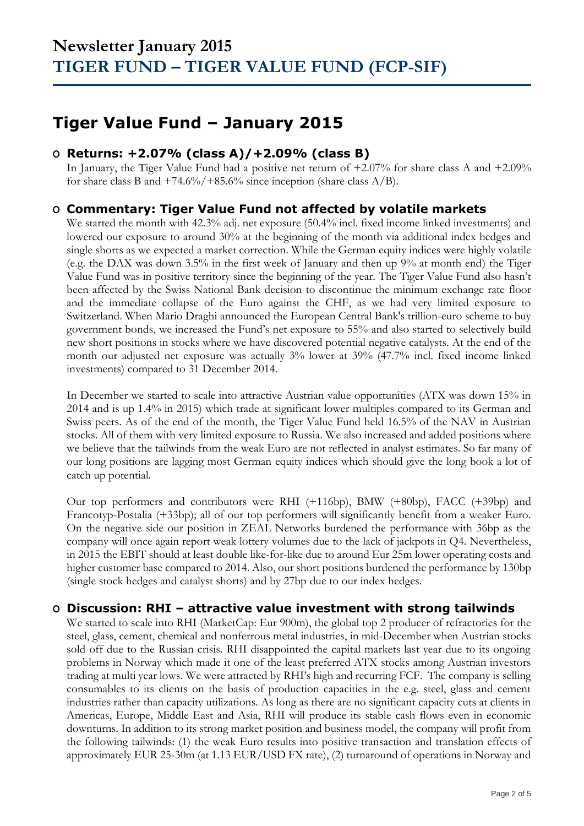### **Tiger Value Fund – January 2015**

### **O Returns: +2.07% (class A)/+2.09% (class B)**

In January, the Tiger Value Fund had a positive net return of +2.07% for share class A and +2.09% for share class B and  $+74.6\%/+85.6\%$  since inception (share class A/B).

### **O Commentary: Tiger Value Fund not affected by volatile markets**

We started the month with 42.3% adj. net exposure (50.4% incl. fixed income linked investments) and lowered our exposure to around 30% at the beginning of the month via additional index hedges and single shorts as we expected a market correction. While the German equity indices were highly volatile (e.g. the DAX was down 3.5% in the first week of January and then up 9% at month end) the Tiger Value Fund was in positive territory since the beginning of the year. The Tiger Value Fund also hasn't been affected by the Swiss National Bank decision to discontinue the minimum exchange rate floor and the immediate collapse of the Euro against the CHF, as we had very limited exposure to Switzerland. When Mario Draghi announced the European Central Bank's trillion-euro scheme to buy government bonds, we increased the Fund's net exposure to 55% and also started to selectively build new short positions in stocks where we have discovered potential negative catalysts. At the end of the month our adjusted net exposure was actually 3% lower at 39% (47.7% incl. fixed income linked investments) compared to 31 December 2014.

In December we started to scale into attractive Austrian value opportunities (ATX was down 15% in 2014 and is up 1.4% in 2015) which trade at significant lower multiples compared to its German and Swiss peers. As of the end of the month, the Tiger Value Fund held 16.5% of the NAV in Austrian stocks. All of them with very limited exposure to Russia. We also increased and added positions where we believe that the tailwinds from the weak Euro are not reflected in analyst estimates. So far many of our long positions are lagging most German equity indices which should give the long book a lot of catch up potential.

Our top performers and contributors were RHI (+116bp), BMW (+80bp), FACC (+39bp) and Francotyp-Postalia (+33bp); all of our top performers will significantly benefit from a weaker Euro. On the negative side our position in ZEAL Networks burdened the performance with 36bp as the company will once again report weak lottery volumes due to the lack of jackpots in Q4. Nevertheless, in 2015 the EBIT should at least double like-for-like due to around Eur 25m lower operating costs and higher customer base compared to 2014. Also, our short positions burdened the performance by 130bp (single stock hedges and catalyst shorts) and by 27bp due to our index hedges.

### **O Discussion: RHI – attractive value investment with strong tailwinds**

We started to scale into RHI (MarketCap: Eur 900m), the global top 2 producer of refractories for the steel, glass, cement, chemical and nonferrous metal industries, in mid-December when Austrian stocks sold off due to the Russian crisis. RHI disappointed the capital markets last year due to its ongoing problems in Norway which made it one of the least preferred ATX stocks among Austrian investors trading at multi year lows. We were attracted by RHI's high and recurring FCF. The company is selling consumables to its clients on the basis of production capacities in the e.g. steel, glass and cement industries rather than capacity utilizations. As long as there are no significant capacity cuts at clients in Americas, Europe, Middle East and Asia, RHI will produce its stable cash flows even in economic downturns. In addition to its strong market position and business model, the company will profit from the following tailwinds: (1) the weak Euro results into positive transaction and translation effects of approximately EUR 25-30m (at 1.13 EUR/USD FX rate), (2) turnaround of operations in Norway and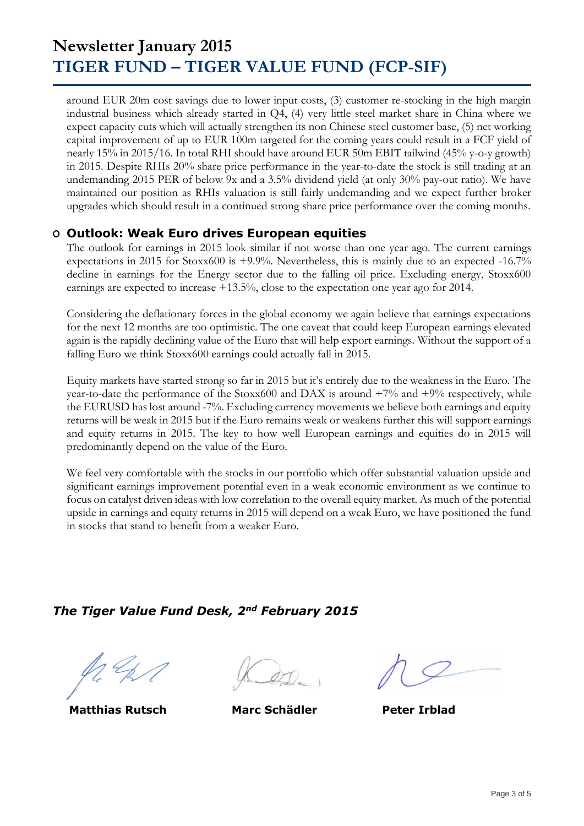around EUR 20m cost savings due to lower input costs, (3) customer re-stocking in the high margin industrial business which already started in Q4, (4) very little steel market share in China where we expect capacity cuts which will actually strengthen its non Chinese steel customer base, (5) net working capital improvement of up to EUR 100m targeted for the coming years could result in a FCF yield of nearly 15% in 2015/16. In total RHI should have around EUR 50m EBIT tailwind (45% y-o-y growth) in 2015. Despite RHIs 20% share price performance in the year-to-date the stock is still trading at an undemanding 2015 PER of below 9x and a 3.5% dividend yield (at only 30% pay-out ratio). We have maintained our position as RHIs valuation is still fairly undemanding and we expect further broker upgrades which should result in a continued strong share price performance over the coming months.

#### **O Outlook: Weak Euro drives European equities**

The outlook for earnings in 2015 look similar if not worse than one year ago. The current earnings expectations in 2015 for Stoxx600 is +9.9%. Nevertheless, this is mainly due to an expected -16.7% decline in earnings for the Energy sector due to the falling oil price. Excluding energy, Stoxx600 earnings are expected to increase +13.5%, close to the expectation one year ago for 2014.

Considering the deflationary forces in the global economy we again believe that earnings expectations for the next 12 months are too optimistic. The one caveat that could keep European earnings elevated again is the rapidly declining value of the Euro that will help export earnings. Without the support of a falling Euro we think Stoxx600 earnings could actually fall in 2015.

Equity markets have started strong so far in 2015 but it's entirely due to the weakness in the Euro. The year-to-date the performance of the Stoxx600 and DAX is around  $+7\%$  and  $+9\%$  respectively, while the EURUSD has lost around -7%. Excluding currency movements we believe both earnings and equity returns will be weak in 2015 but if the Euro remains weak or weakens further this will support earnings and equity returns in 2015. The key to how well European earnings and equities do in 2015 will predominantly depend on the value of the Euro.

We feel very comfortable with the stocks in our portfolio which offer substantial valuation upside and significant earnings improvement potential even in a weak economic environment as we continue to focus on catalyst driven ideas with low correlation to the overall equity market. As much of the potential upside in earnings and equity returns in 2015 will depend on a weak Euro, we have positioned the fund in stocks that stand to benefit from a weaker Euro.

### *The Tiger Value Fund Desk, 2nd February 2015*

**Matthias Rutsch Marc Schädler Peter Irblad**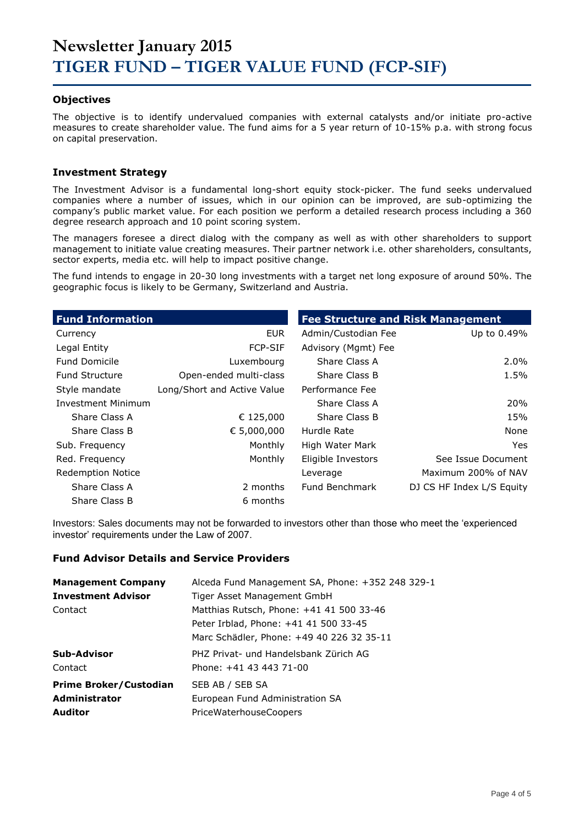#### **Objectives**

The objective is to identify undervalued companies with external catalysts and/or initiate pro-active measures to create shareholder value. The fund aims for a 5 year return of 10-15% p.a. with strong focus on capital preservation.

#### **Investment Strategy**

The Investment Advisor is a fundamental long-short equity stock-picker. The fund seeks undervalued companies where a number of issues, which in our opinion can be improved, are sub-optimizing the company's public market value. For each position we perform a detailed research process including a 360 degree research approach and 10 point scoring system.

The managers foresee a direct dialog with the company as well as with other shareholders to support management to initiate value creating measures. Their partner network i.e. other shareholders, consultants, sector experts, media etc. will help to impact positive change.

The fund intends to engage in 20-30 long investments with a target net long exposure of around 50%. The geographic focus is likely to be Germany, Switzerland and Austria.

| <b>Fund Information</b>  |                             | <b>Fee Structure and Risk Management</b> |                           |  |  |  |
|--------------------------|-----------------------------|------------------------------------------|---------------------------|--|--|--|
| Currency                 | EUR.                        | Admin/Custodian Fee                      | Up to 0.49%               |  |  |  |
| Legal Entity             | <b>FCP-SIF</b>              | Advisory (Mgmt) Fee                      |                           |  |  |  |
| <b>Fund Domicile</b>     | Luxembourg                  | Share Class A                            | $2.0\%$                   |  |  |  |
| <b>Fund Structure</b>    | Open-ended multi-class      | Share Class B                            | 1.5%                      |  |  |  |
| Style mandate            | Long/Short and Active Value | Performance Fee                          |                           |  |  |  |
| Investment Minimum       |                             | Share Class A                            | 20%                       |  |  |  |
| Share Class A            | € 125,000                   | Share Class B                            | 15%                       |  |  |  |
| Share Class B            | € 5,000,000                 | Hurdle Rate                              | None                      |  |  |  |
| Sub. Frequency           | Monthly                     | High Water Mark                          | <b>Yes</b>                |  |  |  |
| Red. Frequency           | Monthly                     | Eligible Investors                       | See Issue Document        |  |  |  |
| <b>Redemption Notice</b> |                             | Leverage                                 | Maximum 200% of NAV       |  |  |  |
| Share Class A            | 2 months                    | Fund Benchmark                           | DJ CS HF Index L/S Equity |  |  |  |
| Share Class B            | 6 months                    |                                          |                           |  |  |  |

Investors: Sales documents may not be forwarded to investors other than those who meet the 'experienced investor' requirements under the Law of 2007.

#### **Fund Advisor Details and Service Providers**

| <b>Management Company</b>     | Alceda Fund Management SA, Phone: +352 248 329-1 |
|-------------------------------|--------------------------------------------------|
| <b>Investment Advisor</b>     | Tiger Asset Management GmbH                      |
| Contact                       | Matthias Rutsch, Phone: +41 41 500 33-46         |
|                               | Peter Irblad, Phone: +41 41 500 33-45            |
|                               | Marc Schädler, Phone: +49 40 226 32 35-11        |
| Sub-Advisor                   | PHZ Privat- und Handelsbank Zürich AG            |
| Contact                       | Phone: +41 43 443 71-00                          |
| <b>Prime Broker/Custodian</b> | SEB AB / SEB SA                                  |
| <b>Administrator</b>          | European Fund Administration SA                  |
| <b>Auditor</b>                | <b>PriceWaterhouseCoopers</b>                    |